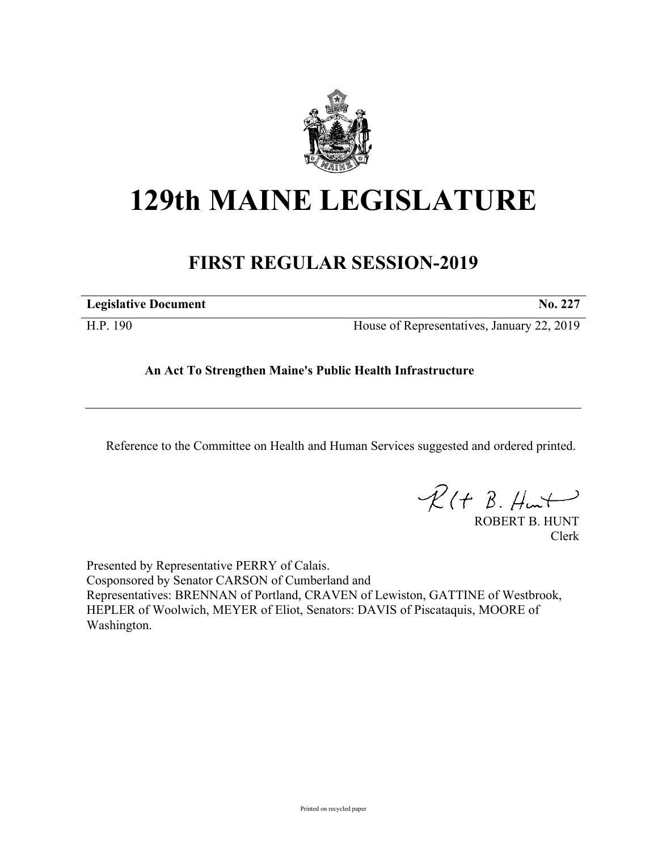

## **129th MAINE LEGISLATURE**

## **FIRST REGULAR SESSION-2019**

| <b>Legislative Document</b><br>NO. |  |
|------------------------------------|--|
|                                    |  |

H.P. 190 House of Representatives, January 22, 2019

## **An Act To Strengthen Maine's Public Health Infrastructure**

Reference to the Committee on Health and Human Services suggested and ordered printed.

 $R(H B. Hmt)$ 

ROBERT B. HUNT Clerk

Presented by Representative PERRY of Calais. Cosponsored by Senator CARSON of Cumberland and Representatives: BRENNAN of Portland, CRAVEN of Lewiston, GATTINE of Westbrook, HEPLER of Woolwich, MEYER of Eliot, Senators: DAVIS of Piscataquis, MOORE of Washington.